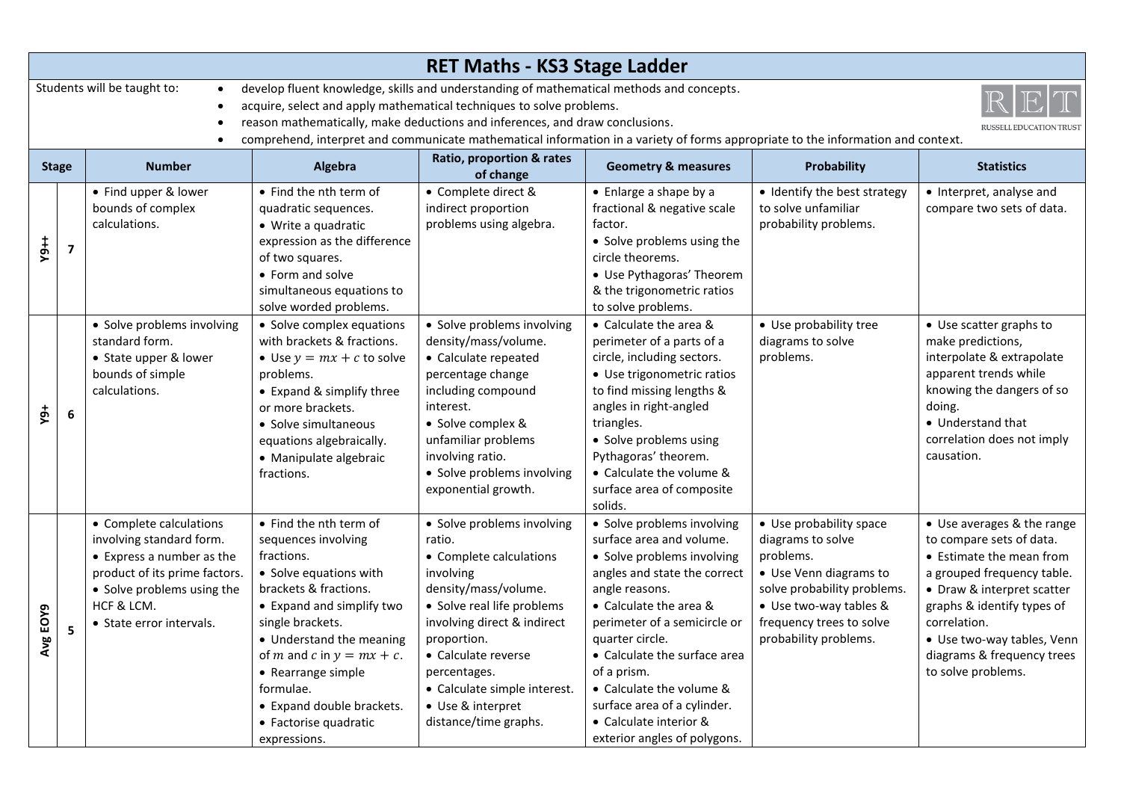|                  | <b>RET Maths - KS3 Stage Ladder</b>                                                                                                                                                                                                                                                                                                                                                                                                                   |                                                                                                                                                                                           |                                                                                                                                                                                                                                                                                                                                                    |                                                                                                                                                                                                                                                                                                       |                                                                                                                                                                                                                                                                                                                                                                                         |                                                                                                                                                                                                   |                                                                                                                                                                                                                                                                                |
|------------------|-------------------------------------------------------------------------------------------------------------------------------------------------------------------------------------------------------------------------------------------------------------------------------------------------------------------------------------------------------------------------------------------------------------------------------------------------------|-------------------------------------------------------------------------------------------------------------------------------------------------------------------------------------------|----------------------------------------------------------------------------------------------------------------------------------------------------------------------------------------------------------------------------------------------------------------------------------------------------------------------------------------------------|-------------------------------------------------------------------------------------------------------------------------------------------------------------------------------------------------------------------------------------------------------------------------------------------------------|-----------------------------------------------------------------------------------------------------------------------------------------------------------------------------------------------------------------------------------------------------------------------------------------------------------------------------------------------------------------------------------------|---------------------------------------------------------------------------------------------------------------------------------------------------------------------------------------------------|--------------------------------------------------------------------------------------------------------------------------------------------------------------------------------------------------------------------------------------------------------------------------------|
|                  | Students will be taught to:<br>develop fluent knowledge, skills and understanding of mathematical methods and concepts.<br>acquire, select and apply mathematical techniques to solve problems.<br>reason mathematically, make deductions and inferences, and draw conclusions.<br><b>RUSSELL EDUCATION TRUST</b><br>comprehend, interpret and communicate mathematical information in a variety of forms appropriate to the information and context. |                                                                                                                                                                                           |                                                                                                                                                                                                                                                                                                                                                    |                                                                                                                                                                                                                                                                                                       |                                                                                                                                                                                                                                                                                                                                                                                         |                                                                                                                                                                                                   |                                                                                                                                                                                                                                                                                |
| <b>Stage</b>     |                                                                                                                                                                                                                                                                                                                                                                                                                                                       | <b>Number</b>                                                                                                                                                                             | Algebra                                                                                                                                                                                                                                                                                                                                            | Ratio, proportion & rates<br>of change                                                                                                                                                                                                                                                                | <b>Geometry &amp; measures</b>                                                                                                                                                                                                                                                                                                                                                          | <b>Probability</b>                                                                                                                                                                                | <b>Statistics</b>                                                                                                                                                                                                                                                              |
| $+64$            | $\overline{\mathbf{z}}$                                                                                                                                                                                                                                                                                                                                                                                                                               | • Find upper & lower<br>bounds of complex<br>calculations.<br>• Solve problems involving<br>standard form.<br>• State upper & lower<br>bounds of simple<br>calculations.                  | • Find the nth term of<br>quadratic sequences.<br>• Write a quadratic<br>expression as the difference<br>of two squares.<br>• Form and solve<br>simultaneous equations to<br>solve worded problems.<br>• Solve complex equations<br>with brackets & fractions.<br>• Use $y = mx + c$ to solve<br>problems.<br>• Expand & simplify three            | • Complete direct &<br>indirect proportion<br>problems using algebra.<br>· Solve problems involving<br>density/mass/volume.<br>• Calculate repeated<br>percentage change<br>including compound                                                                                                        | • Enlarge a shape by a<br>fractional & negative scale<br>factor.<br>• Solve problems using the<br>circle theorems.<br>• Use Pythagoras' Theorem<br>& the trigonometric ratios<br>to solve problems.<br>• Calculate the area &<br>perimeter of a parts of a<br>circle, including sectors.<br>• Use trigonometric ratios<br>to find missing lengths &                                     | • Identify the best strategy<br>to solve unfamiliar<br>probability problems.<br>• Use probability tree<br>diagrams to solve<br>problems.                                                          | • Interpret, analyse and<br>compare two sets of data.<br>• Use scatter graphs to<br>make predictions,<br>interpolate & extrapolate<br>apparent trends while<br>knowing the dangers of so                                                                                       |
| φY               | $\boldsymbol{6}$                                                                                                                                                                                                                                                                                                                                                                                                                                      |                                                                                                                                                                                           | or more brackets.<br>• Solve simultaneous<br>equations algebraically.<br>• Manipulate algebraic<br>fractions.                                                                                                                                                                                                                                      | interest.<br>• Solve complex &<br>unfamiliar problems<br>involving ratio.<br>· Solve problems involving<br>exponential growth.                                                                                                                                                                        | angles in right-angled<br>triangles.<br>• Solve problems using<br>Pythagoras' theorem.<br>• Calculate the volume &<br>surface area of composite<br>solids.                                                                                                                                                                                                                              |                                                                                                                                                                                                   | doing.<br>• Understand that<br>correlation does not imply<br>causation.                                                                                                                                                                                                        |
| EOY9<br>Ō0<br>ર્ | 5                                                                                                                                                                                                                                                                                                                                                                                                                                                     | • Complete calculations<br>involving standard form.<br>• Express a number as the<br>product of its prime factors.<br>• Solve problems using the<br>HCF & LCM.<br>• State error intervals. | • Find the nth term of<br>sequences involving<br>fractions.<br>• Solve equations with<br>brackets & fractions.<br>• Expand and simplify two<br>single brackets.<br>• Understand the meaning<br>of <i>m</i> and <i>c</i> in $y = mx + c$ .<br>• Rearrange simple<br>formulae.<br>• Expand double brackets.<br>• Factorise quadratic<br>expressions. | • Solve problems involving<br>ratio.<br>• Complete calculations<br>involving<br>density/mass/volume.<br>• Solve real life problems<br>involving direct & indirect<br>proportion.<br>• Calculate reverse<br>percentages.<br>• Calculate simple interest.<br>• Use & interpret<br>distance/time graphs. | • Solve problems involving<br>surface area and volume.<br>• Solve problems involving<br>angles and state the correct<br>angle reasons.<br>• Calculate the area &<br>perimeter of a semicircle or<br>quarter circle.<br>• Calculate the surface area<br>of a prism.<br>• Calculate the volume &<br>surface area of a cylinder.<br>• Calculate interior &<br>exterior angles of polygons. | • Use probability space<br>diagrams to solve<br>problems.<br>• Use Venn diagrams to<br>solve probability problems.<br>• Use two-way tables &<br>frequency trees to solve<br>probability problems. | • Use averages & the range<br>to compare sets of data.<br>• Estimate the mean from<br>a grouped frequency table.<br>• Draw & interpret scatter<br>graphs & identify types of<br>correlation.<br>• Use two-way tables, Venn<br>diagrams & frequency trees<br>to solve problems. |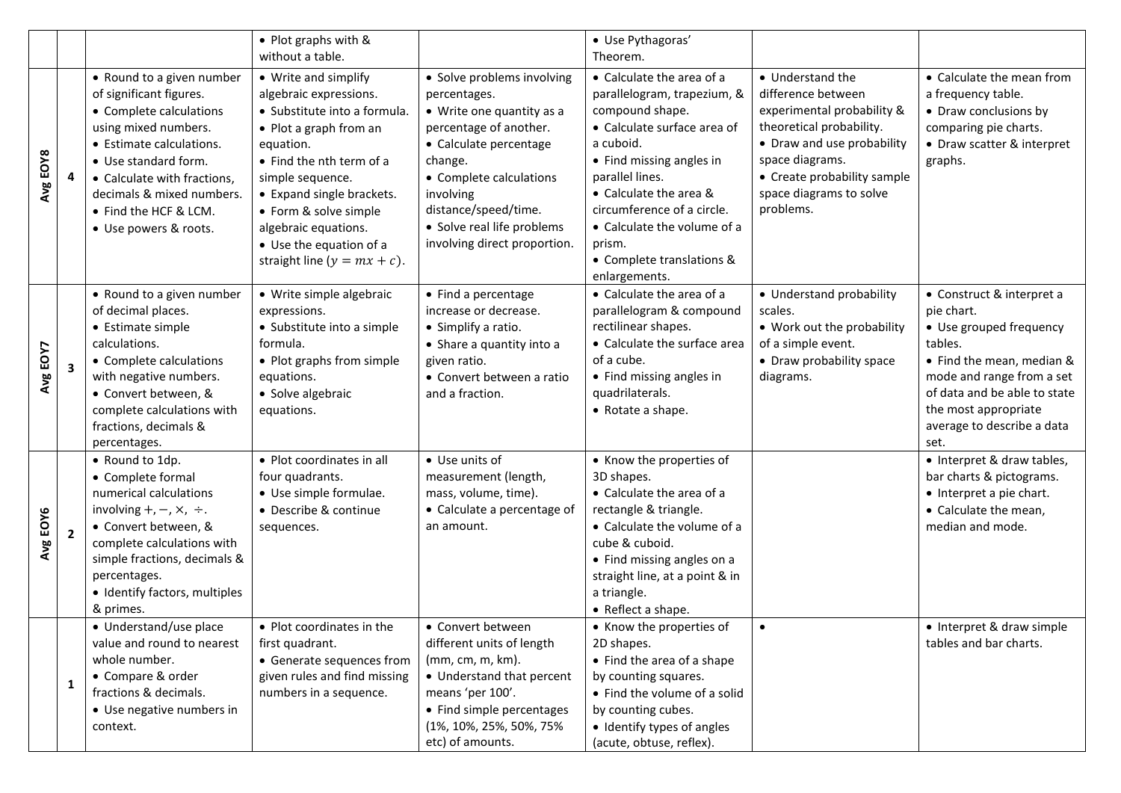|          |                         |                                                                                                                                                                                                                                                                           | • Plot graphs with &<br>without a table.                                                                                                                                                                                                                                                                          |                                                                                                                                                                                                                                                                      | · Use Pythagoras'<br>Theorem.                                                                                                                                                                                                                                                                                         |                                                                                                                                                                                                                          |                                                                                                                                                                                                                                       |
|----------|-------------------------|---------------------------------------------------------------------------------------------------------------------------------------------------------------------------------------------------------------------------------------------------------------------------|-------------------------------------------------------------------------------------------------------------------------------------------------------------------------------------------------------------------------------------------------------------------------------------------------------------------|----------------------------------------------------------------------------------------------------------------------------------------------------------------------------------------------------------------------------------------------------------------------|-----------------------------------------------------------------------------------------------------------------------------------------------------------------------------------------------------------------------------------------------------------------------------------------------------------------------|--------------------------------------------------------------------------------------------------------------------------------------------------------------------------------------------------------------------------|---------------------------------------------------------------------------------------------------------------------------------------------------------------------------------------------------------------------------------------|
| Avg EOY8 | 4                       | • Round to a given number<br>of significant figures.<br>• Complete calculations<br>using mixed numbers.<br>• Estimate calculations.<br>• Use standard form.<br>• Calculate with fractions,<br>decimals & mixed numbers.<br>• Find the HCF & LCM.<br>• Use powers & roots. | • Write and simplify<br>algebraic expressions.<br>• Substitute into a formula.<br>• Plot a graph from an<br>equation.<br>• Find the nth term of a<br>simple sequence.<br>• Expand single brackets.<br>• Form & solve simple<br>algebraic equations.<br>• Use the equation of a<br>straight line ( $y = mx + c$ ). | · Solve problems involving<br>percentages.<br>• Write one quantity as a<br>percentage of another.<br>• Calculate percentage<br>change.<br>• Complete calculations<br>involving<br>distance/speed/time.<br>• Solve real life problems<br>involving direct proportion. | • Calculate the area of a<br>parallelogram, trapezium, &<br>compound shape.<br>• Calculate surface area of<br>a cuboid.<br>• Find missing angles in<br>parallel lines.<br>• Calculate the area &<br>circumference of a circle.<br>• Calculate the volume of a<br>prism.<br>• Complete translations &<br>enlargements. | • Understand the<br>difference between<br>experimental probability &<br>theoretical probability.<br>• Draw and use probability<br>space diagrams.<br>• Create probability sample<br>space diagrams to solve<br>problems. | • Calculate the mean from<br>a frequency table.<br>• Draw conclusions by<br>comparing pie charts.<br>• Draw scatter & interpret<br>graphs.                                                                                            |
| Avg EOY7 | $\overline{\mathbf{3}}$ | • Round to a given number<br>of decimal places.<br>• Estimate simple<br>calculations.<br>• Complete calculations<br>with negative numbers.<br>• Convert between, &<br>complete calculations with<br>fractions, decimals &<br>percentages.                                 | • Write simple algebraic<br>expressions.<br>• Substitute into a simple<br>formula.<br>• Plot graphs from simple<br>equations.<br>· Solve algebraic<br>equations.                                                                                                                                                  | • Find a percentage<br>increase or decrease.<br>• Simplify a ratio.<br>• Share a quantity into a<br>given ratio.<br>• Convert between a ratio<br>and a fraction.                                                                                                     | • Calculate the area of a<br>parallelogram & compound<br>rectilinear shapes.<br>• Calculate the surface area<br>of a cube.<br>• Find missing angles in<br>quadrilaterals.<br>• Rotate a shape.                                                                                                                        | • Understand probability<br>scales.<br>• Work out the probability<br>of a simple event.<br>• Draw probability space<br>diagrams.                                                                                         | • Construct & interpret a<br>pie chart.<br>• Use grouped frequency<br>tables.<br>• Find the mean, median &<br>mode and range from a set<br>of data and be able to state<br>the most appropriate<br>average to describe a data<br>set. |
| Avg EOY6 | $\overline{2}$          | • Round to 1dp.<br>• Complete formal<br>numerical calculations<br>involving $+,-, \times, \div.$<br>• Convert between, &<br>complete calculations with<br>simple fractions, decimals &<br>percentages.<br>· Identify factors, multiples<br>& primes.                      | • Plot coordinates in all<br>four quadrants.<br>• Use simple formulae.<br>• Describe & continue<br>sequences.                                                                                                                                                                                                     | • Use units of<br>measurement (length,<br>mass, volume, time).<br>• Calculate a percentage of<br>an amount.                                                                                                                                                          | • Know the properties of<br>3D shapes.<br>• Calculate the area of a<br>rectangle & triangle.<br>• Calculate the volume of a<br>cube & cuboid.<br>• Find missing angles on a<br>straight line, at a point & in<br>a triangle.<br>• Reflect a shape.                                                                    |                                                                                                                                                                                                                          | • Interpret & draw tables,<br>bar charts & pictograms.<br>• Interpret a pie chart.<br>• Calculate the mean,<br>median and mode.                                                                                                       |
|          | 1                       | • Understand/use place<br>value and round to nearest<br>whole number.<br>• Compare & order<br>fractions & decimals.<br>• Use negative numbers in<br>context.                                                                                                              | • Plot coordinates in the<br>first quadrant.<br>• Generate sequences from<br>given rules and find missing<br>numbers in a sequence.                                                                                                                                                                               | • Convert between<br>different units of length<br>(mm, cm, m, km).<br>• Understand that percent<br>means 'per 100'.<br>• Find simple percentages<br>(1%, 10%, 25%, 50%, 75%<br>etc) of amounts.                                                                      | • Know the properties of<br>2D shapes.<br>• Find the area of a shape<br>by counting squares.<br>• Find the volume of a solid<br>by counting cubes.<br>• Identify types of angles<br>(acute, obtuse, reflex).                                                                                                          |                                                                                                                                                                                                                          | • Interpret & draw simple<br>tables and bar charts.                                                                                                                                                                                   |